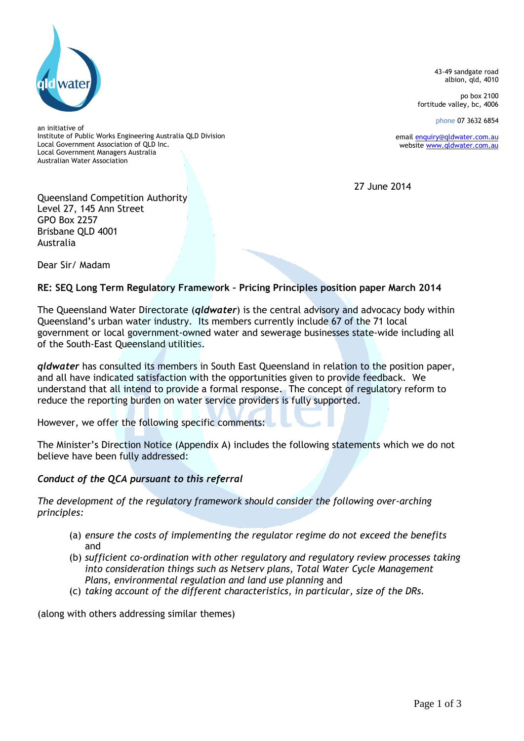

43-49 sandgate road albion, qld, 4010

po box 2100 fortitude valley, bc, 4006

phone 07 3632 6854

email [enquiry@qldwater.com.au](mailto:enquiry@qldwater.com.au) website [www.qldwater.com.au](http://www.qldwater.com.au/)

27 June 2014

an initiative of Institute of Public Works Engineering Australia QLD Division Local Government Association of QLD Inc. Local Government Managers Australia Australian Water Association

Queensland Competition Authority Level 27, 145 Ann Street GPO Box 2257 Brisbane QLD 4001 Australia

Dear Sir/ Madam

# **RE: SEQ Long Term Regulatory Framework – Pricing Principles position paper March 2014**

The Queensland Water Directorate (*qldwater*) is the central advisory and advocacy body within Queensland's urban water industry. Its members currently include 67 of the 71 local government or local government-owned water and sewerage businesses state-wide including all of the South-East Queensland utilities.

*qldwater* has consulted its members in South East Queensland in relation to the position paper, and all have indicated satisfaction with the opportunities given to provide feedback. We understand that all intend to provide a formal response. The concept of regulatory reform to reduce the reporting burden on water service providers is fully supported.

However, we offer the following specific comments:

The Minister's Direction Notice (Appendix A) includes the following statements which we do not believe have been fully addressed:

# *Conduct of the QCA pursuant to this referral*

*The development of the regulatory framework should consider the following over-arching principles:*

- (a) *ensure the costs of implementing the regulator regime do not exceed the benefits*  and
- (b) *sufficient co-ordination with other regulatory and regulatory review processes taking into consideration things such as Netserv plans, Total Water Cycle Management Plans, environmental regulation and land use planning* and
- (c) *taking account of the different characteristics, in particular, size of the DRs.*

(along with others addressing similar themes)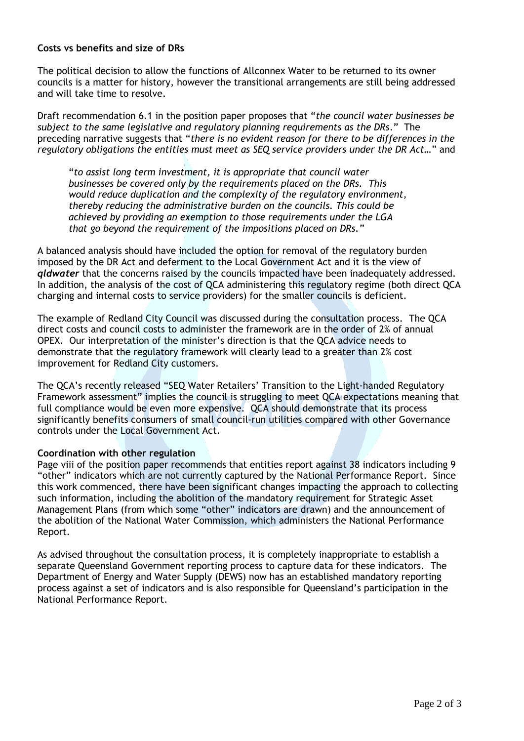### **Costs vs benefits and size of DRs**

The political decision to allow the functions of Allconnex Water to be returned to its owner councils is a matter for history, however the transitional arrangements are still being addressed and will take time to resolve.

Draft recommendation 6.1 in the position paper proposes that "*the council water businesses be subject to the same legislative and regulatory planning requirements as the DRs*." The preceding narrative suggests that "*there is no evident reason for there to be differences in the regulatory obligations the entities must meet as SEQ service providers under the DR Act…*" and

"*to assist long term investment, it is appropriate that council water businesses be covered only by the requirements placed on the DRs. This would reduce duplication and the complexity of the regulatory environment, thereby reducing the administrative burden on the councils. This could be achieved by providing an exemption to those requirements under the LGA that go beyond the requirement of the impositions placed on DRs."*

A balanced analysis should have included the option for removal of the regulatory burden imposed by the DR Act and deferment to the Local Government Act and it is the view of *qldwater* that the concerns raised by the councils impacted have been inadequately addressed. In addition, the analysis of the cost of QCA administering this regulatory regime (both direct QCA charging and internal costs to service providers) for the smaller councils is deficient.

The example of Redland City Council was discussed during the consultation process. The QCA direct costs and council costs to administer the framework are in the order of 2% of annual OPEX. Our interpretation of the minister's direction is that the QCA advice needs to demonstrate that the regulatory framework will clearly lead to a greater than 2% cost improvement for Redland City customers.

The QCA's recently released "SEQ Water Retailers' Transition to the Light-handed Regulatory Framework assessment" implies the council is struggling to meet QCA expectations meaning that full compliance would be even more expensive. QCA should demonstrate that its process significantly benefits consumers of small council-run utilities compared with other Governance controls under the Local Government Act.

#### **Coordination with other regulation**

Page viii of the position paper recommends that entities report against 38 indicators including 9 "other" indicators which are not currently captured by the National Performance Report. Since this work commenced, there have been significant changes impacting the approach to collecting such information, including the abolition of the mandatory requirement for Strategic Asset Management Plans (from which some "other" indicators are drawn) and the announcement of the abolition of the National Water Commission, which administers the National Performance Report.

As advised throughout the consultation process, it is completely inappropriate to establish a separate Queensland Government reporting process to capture data for these indicators. The Department of Energy and Water Supply (DEWS) now has an established mandatory reporting process against a set of indicators and is also responsible for Queensland's participation in the National Performance Report.